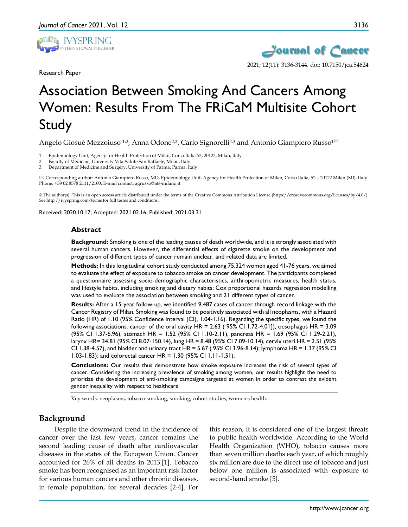

Research Paper



# Association Between Smoking And Cancers Among Women: Results From The FRiCaM Multisite Cohort Study

Angelo Giosuè Mezzoiuso <sup>1,2</sup>, Anna Odone<sup>2,3</sup>, Carlo Signorelli<sup>2,3</sup> and Antonio Giampiero Russo<sup>1 $\boxtimes$ </sup>

1. Epidemiology Unit, Agency for Health Protection of Milan, Corso Italia 52, 20122, Milan, Italy.

2. Faculty of Medicine, University Vita-Salute San Raffaele, Milan, Italy.

3. Department of Medicine and Surgery, University of Parma, Parma, Italy.

 Corresponding author: Antonio Giampiero Russo, MD, Epidemiology Unit, Agency for Health Protection of Milan, Corso Italia, 52 – 20122 Milan (MI), Italy. Phone: +39 02 8578 2111/2100; E-mail contact: agrusso@ats-milano.it

© The author(s). This is an open access article distributed under the terms of the Creative Commons Attribution License (https://creativecommons.org/licenses/by/4.0/). See http://ivyspring.com/terms for full terms and conditions.

Received: 2020.10.17; Accepted: 2021.02.16; Published: 2021.03.31

### **Abstract**

**Background:** Smoking is one of the leading causes of death worldwide, and it is strongly associated with several human cancers. However, the differential effects of cigarette smoke on the development and progression of different types of cancer remain unclear, and related data are limited.

**Methods:** In this longitudinal cohort study conducted among 75,324 women aged 41-76 years, we aimed to evaluate the effect of exposure to tobacco smoke on cancer development. The participants completed a questionnaire assessing socio-demographic characteristics, anthropometric measures, health status, and lifestyle habits, including smoking and dietary habits; Cox proportional hazards regression modelling was used to evaluate the association between smoking and 21 different types of cancer.

**Results:** After a 15-year follow-up, we identified 9,487 cases of cancer through record linkage with the Cancer Registry of Milan. Smoking was found to be positively associated with all neoplasms, with a Hazard Ratio (HR) of 1.10 (95% Confidence Interval (CI), 1.04-1.16). Regarding the specific types, we found the following associations: cancer of the oral cavity HR = 2.63 ( 95% CI 1.72-4.01]), oesophagus HR = 3.09 (95% CI 1.37-6.96), stomach HR = 1.52 (95% CI 1.10-2.11), pancreas HR = 1.69 (95% CI 1.29-2.21), larynx HR= 34.81 (95% CI 8.07-150.14), lung HR = 8.48 (95% CI 7.09-10.14), cervix uteri HR = 2.51 (95% CI 1.38-4.57), and bladder and urinary tract HR = 5.67 ( 95% CI 3.96-8.14); lymphoma HR = 1.37 (95% CI 1.03-1.83); and colorectal cancer HR = 1.30 (95% CI 1.11-1.51).

**Conclusions:** Our results thus demonstrate how smoke exposure increases the risk of several types of cancer. Considering the increasing prevalence of smoking among women, our results highlight the need to prioritize the development of anti-smoking campaigns targeted at women in order to contrast the evident gender inequality with respect to healthcare.

Key words: neoplasms, tobacco smoking, smoking, cohort studies, women's health.

## **Background**

Despite the downward trend in the incidence of cancer over the last few years, cancer remains the second leading cause of death after cardiovascular diseases in the states of the European Union. Cancer accounted for 26% of all deaths in 2013 [1]. Tobacco smoke has been recognised as an important risk factor for various human cancers and other chronic diseases, in female population, for several decades [2-4]. For

this reason, it is considered one of the largest threats to public health worldwide. According to the World Health Organization (WHO), tobacco causes more than seven million deaths each year, of which roughly six million are due to the direct use of tobacco and just below one million is associated with exposure to second-hand smoke [5].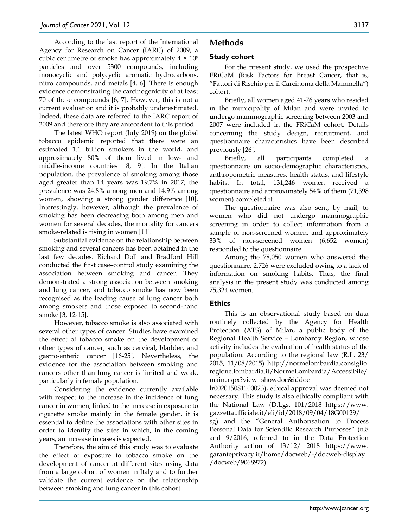According to the last report of the International Agency for Research on Cancer (IARC) of 2009, a cubic centimetre of smoke has approximately  $4 \times 10^9$ particles and over 5300 compounds, including monocyclic and polycyclic aromatic hydrocarbons, nitro compounds, and metals [4, 6]. There is enough evidence demonstrating the carcinogenicity of at least 70 of these compounds [6, 7]. However, this is not a current evaluation and it is probably underestimated. Indeed, these data are referred to the IARC report of 2009 and therefore they are antecedent to this period.

The latest WHO report (July 2019) on the global tobacco epidemic reported that there were an estimated 1.1 billion smokers in the world, and approximately 80% of them lived in low- and middle-income countries [8, 9]. In the Italian population, the prevalence of smoking among those aged greater than 14 years was 19.7% in 2017; the prevalence was 24.8% among men and 14.9% among women, showing a strong gender difference [10]. Interestingly, however, although the prevalence of smoking has been decreasing both among men and women for several decades, the mortality for cancers smoke-related is rising in women [11].

Substantial evidence on the relationship between smoking and several cancers has been obtained in the last few decades. Richard Doll and Bradford Hill conducted the first case–control study examining the association between smoking and cancer. They demonstrated a strong association between smoking and lung cancer, and tobacco smoke has now been recognised as the leading cause of lung cancer both among smokers and those exposed to second-hand smoke [3, 12-15].

However, tobacco smoke is also associated with several other types of cancer. Studies have examined the effect of tobacco smoke on the development of other types of cancer, such as cervical, bladder, and gastro-enteric cancer [16-25]. Nevertheless, the evidence for the association between smoking and cancers other than lung cancer is limited and weak, particularly in female population.

Considering the evidence currently available with respect to the increase in the incidence of lung cancer in women, linked to the increase in exposure to cigarette smoke mainly in the female gender, it is essential to define the associations with other sites in order to identify the sites in which, in the coming years, an increase in cases is expected.

Therefore, the aim of this study was to evaluate the effect of exposure to tobacco smoke on the development of cancer at different sites using data from a large cohort of women in Italy and to further validate the current evidence on the relationship between smoking and lung cancer in this cohort.

# **Methods**

## **Study cohort**

For the present study, we used the prospective FRiCaM (Risk Factors for Breast Cancer, that is, "Fattori di Rischio per il Carcinoma della Mammella") cohort.

Briefly, all women aged 41-76 years who resided in the municipality of Milan and were invited to undergo mammographic screening between 2003 and 2007 were included in the FRiCaM cohort. Details concerning the study design, recruitment, and questionnaire characteristics have been described previously [26].

Briefly, all participants completed a questionnaire on socio-demographic characteristics, anthropometric measures, health status, and lifestyle habits. In total, 131,246 women received a questionnaire and approximately 54% of them (71,398 women) completed it.

The questionnaire was also sent, by mail, to women who did not undergo mammographic screening in order to collect information from a sample of non-screened women, and approximately 33% of non-screened women (6,652 women) responded to the questionnaire.

Among the 78,050 women who answered the questionnaire, 2,726 were excluded owing to a lack of information on smoking habits. Thus, the final analysis in the present study was conducted among 75,324 women.

## **Ethics**

This is an observational study based on data routinely collected by the Agency for Health Protection (ATS) of Milan, a public body of the Regional Health Service – Lombardy Region, whose activity includes the evaluation of health status of the population. According to the regional law (R.L. 23/ 2015, 11/08/2015) http://normelombardia.consiglio. regione.lombardia.it/NormeLombardia/Accessibile/ main.aspx?view=showdoc&iddoc=

lr002015081100023), ethical approval was deemed not necessary. This study is also ethically compliant with the National Law (D.Lgs. 101/2018 https://www. gazzettaufficiale.it/eli/id/2018/09/04/18G00129/

sg) and the "General Authorisation to Process Personal Data for Scientific Research Purposes" (n.8 and 9/2016, referred to in the Data Protection Authority action of 13/12/ 2018 https://www. garanteprivacy.it/home/docweb/-/docweb-display /docweb/9068972).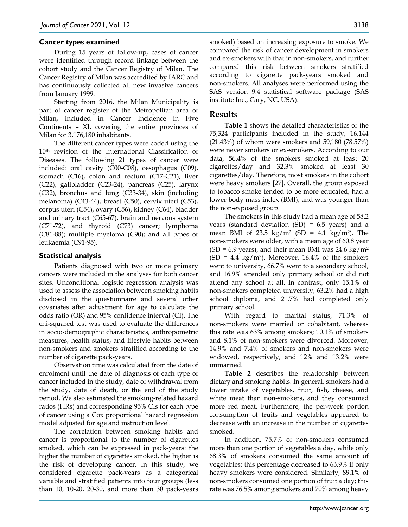#### **Cancer types examined**

During 15 years of follow-up, cases of cancer were identified through record linkage between the cohort study and the Cancer Registry of Milan. The Cancer Registry of Milan was accredited by IARC and has continuously collected all new invasive cancers from January 1999.

Starting from 2016, the Milan Municipality is part of cancer register of the Metropolitan area of Milan, included in Cancer Incidence in Five Continents – XI, covering the entire provinces of Milan for 3,176,180 inhabitants.

The different cancer types were coded using the 10th revision of the International Classification of Diseases. The following 21 types of cancer were included: oral cavity (C00-C08), oesophagus (C09), stomach (C16), colon and rectum (C17-C21), liver (C22), gallbladder (C23-24), pancreas (C25), larynx (C32), bronchus and lung (C33-34), skin (including melanoma) (C43-44), breast (C50), cervix uteri (C53), corpus uteri (C54), ovary (C56), kidney (C64), bladder and urinary tract (C65-67), brain and nervous system (C71-72), and thyroid (C73) cancer; lymphoma (C81-88); multiple myeloma (C90); and all types of leukaemia (C91-95).

#### **Statistical analysis**

Patients diagnosed with two or more primary cancers were included in the analyses for both cancer sites. Unconditional logistic regression analysis was used to assess the association between smoking habits disclosed in the questionnaire and several other covariates after adjustment for age to calculate the odds ratio (OR) and 95% confidence interval (CI). The chi-squared test was used to evaluate the differences in socio‐demographic characteristics, anthropometric measures, health status, and lifestyle habits between non-smokers and smokers stratified according to the number of cigarette pack-years.

Observation time was calculated from the date of enrolment until the date of diagnosis of each type of cancer included in the study, date of withdrawal from the study, date of death, or the end of the study period. We also estimated the smoking-related hazard ratios (HRs) and corresponding 95% CIs for each type of cancer using a Cox proportional hazard regression model adjusted for age and instruction level.

The correlation between smoking habits and cancer is proportional to the number of cigarettes smoked, which can be expressed in pack-years: the higher the number of cigarettes smoked, the higher is the risk of developing cancer. In this study, we considered cigarette pack-years as a categorical variable and stratified patients into four groups (less than 10, 10-20, 20-30, and more than 30 pack-years

smoked) based on increasing exposure to smoke. We compared the risk of cancer development in smokers and ex-smokers with that in non-smokers, and further compared this risk between smokers stratified according to cigarette pack-years smoked and non-smokers. All analyses were performed using the SAS version 9.4 statistical software package (SAS institute Inc., Cary, NC, USA).

## **Results**

**Table 1** shows the detailed characteristics of the 75,324 participants included in the study, 16,144 (21.43%) of whom were smokers and 59,180 (78.57%) were never smokers or ex-smokers. According to our data, 56.4% of the smokers smoked at least 20 cigarettes/day and 32.3% smoked at least 30 cigarettes/day. Therefore, most smokers in the cohort were heavy smokers [27]. Overall, the group exposed to tobacco smoke tended to be more educated, had a lower body mass index (BMI), and was younger than the non-exposed group.

The smokers in this study had a mean age of 58.2 years (standard deviation  $(SD) = 6.5$  years) and a mean BMI of 23.5 kg/m<sup>2</sup> (SD = 4.1 kg/m<sup>2</sup>). The non-smokers were older, with a mean age of 60.8 year  $(SD = 6.9 \text{ years})$ , and their mean BMI was 24.6 kg/m<sup>2</sup>  $(SD = 4.4 \text{ kg/m}^2)$ . Moreover, 16.4% of the smokers went to university, 66.7% went to a secondary school, and 16.9% attended only primary school or did not attend any school at all. In contrast, only 15.1% of non-smokers completed university, 63.2% had a high school diploma, and 21.7% had completed only primary school.

With regard to marital status, 71.3% of non-smokers were married or cohabitant, whereas this rate was 63% among smokers; 10.1% of smokers and 8.1% of non-smokers were divorced. Moreover, 14.9% and 7.4% of smokers and non-smokers were widowed, respectively, and 12% and 13.2% were unmarried.

**Table 2** describes the relationship between dietary and smoking habits. In general, smokers had a lower intake of vegetables, fruit, fish, cheese, and white meat than non-smokers, and they consumed more red meat. Furthermore, the per-week portion consumption of fruits and vegetables appeared to decrease with an increase in the number of cigarettes smoked.

In addition, 75.7% of non-smokers consumed more than one portion of vegetables a day, while only 68.3% of smokers consumed the same amount of vegetables; this percentage decreased to 63.9% if only heavy smokers were considered. Similarly, 89.1% of non-smokers consumed one portion of fruit a day; this rate was 76.5% among smokers and 70% among heavy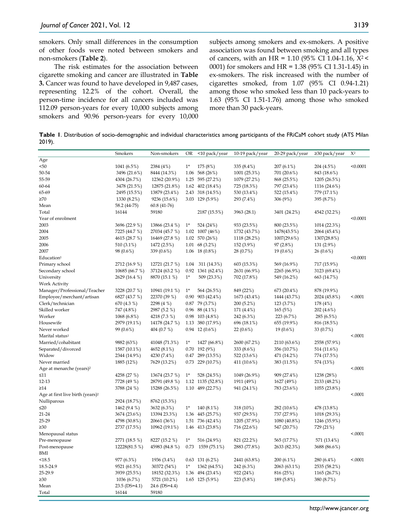smokers. Only small differences in the consumption of other foods were noted between smokers and non-smokers (**Table 2**).

The risk estimates for the association between cigarette smoking and cancer are illustrated in **Table 3.** Cancer was found to have developed in 9,487 cases, representing 12.2% of the cohort. Overall, the person-time incidence for all cancers included was 112.09 person-years for every 10,000 subjects among smokers and 90.96 person-years for every 10,000

subjects among smokers and ex-smokers. A positive association was found between smoking and all types of cancers, with an HR = 1.10 (95% CI 1.04-1.16, Χ2 < 0001) for smokers and HR = 1.38 (95% CI 1.31-1.45) in ex-smokers. The risk increased with the number of cigarettes smoked, from 1.07 (95% CI 0.94-1.21) among those who smoked less than 10 pack-years to 1.63 (95% CI 1.51-1.76) among those who smoked more than 30 pack-years.

**Table 1**. Distribution of socio-demographic and individual characteristics among participants of the FRiCaM cohort study (ATS Milan 2019).

|                                              | Smokers         | Non-smokers    | <b>OR</b> | <10 pack/year                         | 10-19 pack/year | 20-29 pack/year | $\geq$ 30 pack/year         | $X^2$    |
|----------------------------------------------|-----------------|----------------|-----------|---------------------------------------|-----------------|-----------------|-----------------------------|----------|
| Age                                          |                 |                |           |                                       |                 |                 |                             |          |
| < 50                                         | 1041 (6.5%)     | 2384 (4%)      | $1*$      | 175 (8%)                              | 335 (8.4%)      | $207(6.1\%)$    | 204 (4.5%)                  | < 0.0001 |
| 50-54                                        | 3496 (21.6%)    | 8444 (14.3%)   |           | 1.06 568 (26%)                        | 1001 (25.3%)    | 701 (20.6%)     | 843 (18.6%)                 |          |
| 55-59                                        | 4304 (26.7%)    | 12362 (20.9%)  |           | 1.25 595 (27.2%)                      | 1079 (27.2%)    | 868 (25.5%)     | 1205 (26.5%)                |          |
| 60-64                                        | 3478 (21.5%)    | 12875 (21.8%)  |           | 1.62 $402(18.4\%)$                    | 725 (18.3%)     | 797 (23.4%)     | 1116 (24.6%)                |          |
| 65-69                                        | 2495 (15.5%)    | 13879 (23.4%)  |           | 2.43 318 (14.5%)                      | 530 (13.4%)     | 522 (15.4%)     | 779 (17.1%)                 |          |
| $\geq 70$                                    | 1330 (8.2%)     | 9236 (15.6%)   |           | 3.03 129 (5.9%)                       | 293 (7.4%)      | 306 (9%)        | 395 (8.7%)                  |          |
| Mean                                         | 58.2 (44-75)    | 60.8 (41-76)   |           |                                       |                 |                 |                             |          |
| Total                                        | 16144           | 59180          |           | 2187 (15.5%)                          | 3963 (28.1)     | 3401 (24.2%)    | 4542 (32.2%)                |          |
| Year of enrolment                            |                 |                |           |                                       |                 |                 |                             | < 0.0001 |
| 2003                                         | 3696 (22.9 %)   | 13866 (23.4 %) | $1^*$     | 524 (24%)                             | 933 (23.5%)     | 800 (23.5%)     | 1014 (22.3%)                |          |
| 2004                                         | 7225 (44.7 %)   | 27034 (45.7 %) |           | 1.02 1007 (46%)                       | 1732 (43.7%)    | 1478(43.5%)     | 2064 (45.4%)                |          |
| 2005                                         | 4615 (28.7 %)   | 16469 (27.8 %) |           | 1.02 570 (26%)                        | 1118 (28.2%)    | 1007(29.6%)     | 1307(28.8%)                 |          |
| 2006                                         | 510 (3.1%)      | 1472 (2.5%)    |           | $1.01 \quad 68(3.2\%)$                | 152 (3.9%)      | 97(2.8%)        | 131 (2.9%)                  |          |
| 2007                                         | 98 (0.6%)       | 339 (0.6%)     |           | 1.06 18 $(0.8\%)$                     | 28 (0.7%)       | $19(0.6\%)$     | 26(0.6%)                    |          |
| Education <sup>1</sup>                       |                 |                |           |                                       |                 |                 |                             | < 0.0001 |
| Primary school                               | 2712 (16.9 %)   | 12721 (21.7 %) | 1.04      | 311 (14.3%)                           | 603 (15.3%)     | 569 (16.9%)     | 717 (15.9%)                 |          |
| Secondary school                             | 10685 (66.7 %)  | 37124 (63.2 %) |           | 0.92 1361 (62.4%)                     | 2631 (66.9%)    | 2265 (66.9%)    |                             |          |
| University                                   | 2629 (16.4 %)   | 8870 (15.1 %)  | $1*$      | 509 (23.3%)                           | 702 (17.8%)     | 549 (16.2%)     | 3123 (69.4%)<br>663 (14.7%) |          |
|                                              |                 |                |           |                                       |                 |                 |                             |          |
| <b>Work Activity</b>                         |                 |                | $1*$      |                                       |                 |                 |                             |          |
| Manager/Professional/Teacher                 | 3228 (20.7 %)   | 10941 (19.1 %) |           | 564 (26.5%)                           | 849 (22%)       | 673 (20.4%)     | 878 (19.9%)                 | < .0001  |
| Employee/merchant/artisan                    | 6827 (43.7 %)   | 22370 (39 %)   |           | $0.90$ 903 (42.4%)                    | 1673 (43.4%)    | 1444 (43.7%)    | 2024 (45.8%)                |          |
| Clerk/technician                             | 670 (4.3 %)     | 2298 (4 %)     |           | $0.87$ 79 (3.7%)                      | 200(5.2%)       | 123 (3.7%)      | 178 (4%)                    |          |
| Skilled worker<br>Worker                     | 747 (4.8%)      | 2987 (5.2 %)   |           | $0.96$ 88 (4.1%)<br>$0.98$ 103 (4.8%) | 171 (4.4%)      | 165(5%)         | 202 (4.6%)                  |          |
| Housewife                                    | 1068 (6.8%)     | 4218 (7.3 %)   |           |                                       | 242 (6.3%)      | 223 (6.7%)      | 285 (6.5%)                  |          |
| Never worked                                 | 2979 (19.1%)    | 14178 (24.7 %) |           | 1.13 380 (17.9%)                      | 696 (18.1%)     | 655 (19.9%)     | 816 (18.5%)                 |          |
|                                              | 99 (0.6%)       | 404 (0.7 %)    |           | $0.94$ 12 $(0.6\%)$                   | $22(0.6\%)$     | $19(0.6\%)$     | 33 (0.7%)                   |          |
| Marital status <sup>1</sup>                  |                 |                |           |                                       |                 |                 |                             | < .0001  |
| Married/cohabitant                           | 9882 (63%)      | 41048 (71.3%)  | $1*$      | 1427 (66.8%)                          | 2600 (67.2%)    | 2110 (63.6%)    | 2558 (57.9%)                |          |
| Separated/divorced                           | 1587 (10.1%)    | 4652 (8.1%)    |           | $0.70$ 192 (9%)                       | 333 (8.6%)      | 356 (10.7%)     | 514 (11.6%)                 |          |
| Widow                                        | 2344 (14.9%)    | 4230 (7.4%)    |           | $0.47$ 289 (13.5%)                    | 522 (13.6%)     | 471 (14.2%)     | 774 (17.5%)                 |          |
| Never married                                | 1885 (12%)      | 7629 (13.2%)   |           | $0.73$ 229 (10.7%)                    | 411 (10.6%)     | 383 (11.5%)     | 574 (13%)                   |          |
| Age at menarche (years) <sup>2</sup>         |                 |                |           |                                       |                 |                 |                             | < .0001  |
| $\leq 11$                                    | 4258 (27 %)     | 13674 (23.7 %) | $1^*$     | 528 (24.5%)                           | 1049 (26.9%)    | 909 (27.4%)     | 1238 (28%)                  |          |
| 12-13                                        | 7728 (49 %)     | 28791 (49.8 %) |           | 1.12 1135 (52.8%)                     | 1911 (49%)      | 1627 (49%)      | 2133 (48.2%)                |          |
| $\geq$ 14                                    | 3788 (24 %)     | 15288 (26.5%)  |           | 1.10 489 (22.7%)                      | 941 (24.1%)     | 783 (23.6%)     | 1055 (23.8%)                |          |
| Age at first live birth (years) <sup>2</sup> |                 |                |           |                                       |                 |                 |                             | < 0.0001 |
| Nulliparous                                  | 2924 (18.7%)    | 8762 (15.3%)   |           |                                       |                 |                 |                             |          |
| $\leq 20$                                    | 1462 (9.4 %)    | 3632 (6.3%)    | $1*$      | 140 (8.1%)                            | 318 (10%)       | 282 (10.6%)     | 478 (13.8%)                 |          |
| 21-24                                        | 3674 (23.6%)    | 13394 23.3%)   |           | 1.36 445 (25.7%)                      | 937 (29.5%)     | 737 (27.9%)     | 1018 (29.3%)                |          |
| 25-29                                        | 4798 (30.8%)    | 20661 (36%)    |           | 1.51 736 (42.4%)                      | 1205 (37.9%)    | 1080 (40.8%)    | 1246 (35.9%)                |          |
| $\geq 30$                                    | 2737 (17.5%)    | 10962 (19.1%)  |           | 1.46 413 (23.8%)                      | 716 (22.6%)     | 547 (20.7%)     | 729 (21%)                   |          |
| Menopausal status                            |                 |                |           |                                       |                 |                 |                             | < .0001  |
| Pre-menopause                                | 2771 (18.5 %)   | 8227 (15.2 %)  | $1^*$     | 516 (24.9%)                           | 821 (22.2%)     | 565 (17.7%)     | 571 (13.4%)                 |          |
| Post-menopause                               | 12228(81.5 %)   | 45983 (84.8 %) | 0.73      | 1559 (75.1%)                          | 2883 (77.8%)    | 2633 (82.3%)    | 3688 (86.6%)                |          |
| BMI                                          |                 |                |           |                                       |                 |                 |                             |          |
| < 18.5                                       | 977 (6.3%)      | 1936 (3.4%)    |           | $0.63$ 131 $(6.2\%)$                  | 2441 (63.8%)    | $200(6.1\%)$    | 280 (6.4%)                  | < .0001  |
| 18.5-24.9                                    | 9521 (61.5%)    | 30372 (54%)    | $1*$      | 1362 (64.5%)                          | 242 (6.3%)      | 2063 (63.1%)    | 2535 (58.2%)                |          |
| 25-29.9                                      | 3939 (25.5%)    | 18152 (32.3%)  |           | 1.36 494 (23.4%)                      | 922 (24%)       | 816 (25%)       | 1165 (26.7%)                |          |
| $\geq 30$                                    | 1036 (6.7%)     | 5721 (10.2%)   |           | $1.65$ 125 (5.9%)                     | 223 (5.8%)      | 189 (5.8%)      | 380 (8.7%)                  |          |
| Mean                                         | $23.5$ (DS=4.1) | 24.6 (DS=4.4)  |           |                                       |                 |                 |                             |          |
| Total                                        | 16144           | 59180          |           |                                       |                 |                 |                             |          |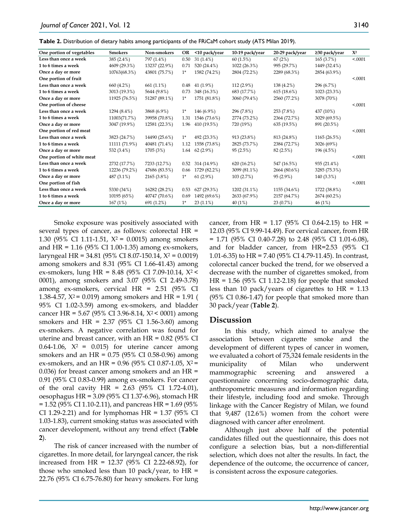**Table 2.** Distribution of dietary habits among participants of the FRiCaM cohort study (ATS Milan 2019).

| One portion of vegetables | Smokers       | Non-smokers   | OR    | <10 pack/year | 10-19 pack/year | 20-29 pack/year | ≥30 pack/year | $X^2$    |
|---------------------------|---------------|---------------|-------|---------------|-----------------|-----------------|---------------|----------|
| Less than once a week     | 385 (2.4%)    | 797 (1.4%)    | 0.50  | $31(1.4\%)$   | 60(1.5%)        | 67(2%)          | 165(3.7%)     | < .0001  |
| 1 to 6 times a week       | 4609 (29.3%)  | 13237 (22.9%) | 0.71  | 520 (24.4%)   | 1022 (26.3%)    | 995 (29.7%)     | 1449 (32.4%)  |          |
| Once a day or more        | 10763(68.3%)  | 43801 (75.7%) | $1^*$ | 1582 (74.2%)  | 2804 (72.2%)    | 2289 (68.3%)    | 2854 (63.9%)  |          |
| One portion of fruit      |               |               |       |               |                 |                 |               | < .0001  |
| Less than once a week     | 660 (4.2%)    | 661 (1.1%)    | 0.48  | $41(1.9\%)$   | $112(2.9\%)$    | 138 (4.2%)      | 296 (6.7%)    |          |
| 1 to 6 times a week       | 3013 (19.3%)  | 5644 (9.8%)   | 0.73  | 348 (16.3%)   | 683 (17.7%)     | 615(18.6%)      | 1023 (23.3%)  |          |
| Once a day or more        | 11925 (76.5%) | 51287 (89.1%) | $1^*$ | 1751 (81.8%)  | 3060 (79.4%)    | 2560 (77.2%)    | 3078 (70%)    |          |
| One portion of cheese     |               |               |       |               |                 |                 |               | < 0.0001 |
| Less than once a week     | 1294 (8.4%)   | 3868 (6.9%)   | $1^*$ | 146 (6.9%)    | 296 (7.8%)      | 253 (7.8%)      | 437 (10%)     |          |
| 1 to 6 times a week       | 11003(71.7%)  | 39958 (70.8%) | 1.31  | 1546 (73.6%)  | 2774 (73.2%)    | 2364 (72.7%)    | 3029 (69.5%)  |          |
| Once a day or more        | 3047 (19.9%)  | 12581 (22.3%) | 1.96  | 410 (19.5%)   | 720 (19%)       | 635 (19.5%)     | 891 (20.5%)   |          |
| One portion of red meat   |               |               |       |               |                 |                 |               | < 0.0001 |
| Less than once a week     | 3823 (24.7%)  | 14490 (25.6%) | $1^*$ | 492 (23.3%)   | 913 (23.8%)     | 813 (24.8%)     | 1165 (26.5%)  |          |
| 1 to 6 times a week       | 11111 (71.9%) | 40481 (71.4%) | 1.12  | 1558 (73.8%)  | 2825 (73.7%)    | 2384 (72.7%)    | 3026 (69%)    |          |
| Once a day or more        | 532 (3.4%)    | 1705 (3%)     | 1.64  | $62(2.9\%)$   | 95(2.5%)        | 82 (2.5%)       | 196 (4.5%)    |          |
| One portion of white meat |               |               |       |               |                 |                 |               | < 0.0001 |
| Less than once a week     | 2732 (17.7%)  | 7233 (12.7%)  | 0.52  | 314 (14.9%)   | 620(16.2%)      | 547 (16.5%)     | 935 (21.4%)   |          |
| 1 to 6 times a week       | 12236 (79.2%) | 47686 (83.5%) | 0.66  | 1729 (82.2%)  | 3099 (81.1%)    | 2664 (80.6%)    | 3285 (75.3%)  |          |
| Once a day or more        | 487 (3.1%)    | 2165 (3.8%)   | $1^*$ | $61(2.9\%)$   | 103(2.7%)       | 95 (2.9%)       | 140 (3.3%)    |          |
| One portion of fish       |               |               |       |               |                 |                 |               | < 0.0001 |
| Less than once a week     | 5330 (34%)    | 16282 (28.2%) | 0.53  | 627 (29.3%)   | 1202 (31.1%)    | 1155 (34.6%)    | 1722 (38.8%)  |          |
| 1 to 6 times a week       | 10195 (65%)   | 40747 (70.6%) | 0.69  | 1492 (69.6%)  | 2633 (67.9%)    | 2157 (64.7%)    | 2674 (60.2%)  |          |
| Once a day or more        | 167(1%)       | 691 (1.2%)    | $1^*$ | $23(1.1\%)$   | 40 (1%)         | 23(0.7%)        | 46(1%)        |          |
|                           |               |               |       |               |                 |                 |               |          |

Smoke exposure was positively associated with several types of cancer, as follows: colorectal HR = 1.30 (95% CI 1.11-1.51,  $X^2$  = 0.0015) among smokers and HR = 1.16 (95% CI 1.00-1.35) among ex-smokers, laryngeal HR = 34.81 (95% CI 8.07-150.14, Χ<sup>2</sup> = 0.0019) among smokers and 8.31 (95% CI 1.66-41.43) among ex-smokers, lung HR = 8.48 (95% CI 7.09-10.14, Χ2 < 0001), among smokers and 3.07 (95% CI 2.49-3.78) among ex-smokers, cervical HR = 2.51 (95% CI 1.38-4.57,  $X^2$  = 0.019) among smokers and HR = 1.91 ( 95% CI 1.02-3.59) among ex-smokers, and bladder cancer HR =  $5.67$  (95% CI 3.96-8.14,  $X^2$  < 0001) among smokers and HR = 2.37 (95% CI 1.56-3.60) among ex-smokers. A negative correlation was found for uterine and breast cancer, with an  $HR = 0.82$  (95% CI 0.64-1.06,  $X^2 = 0.015$ ) for uterine cancer among smokers and an HR = 0.75 (95% CI 0.58-0.96) among ex-smokers, and an HR =  $0.96$  (95% CI 0.87-1.05,  $X^2$  = 0.036) for breast cancer among smokers and an HR = 0.91 (95% CI 0.83-0.99) among ex-smokers. For cancer of the oral cavity  $HR = 2.63$  (95% CI 1.72-4.01), oesophagus HR = 3.09 (95% CI 1.37-6.96), stomach HR  $= 1.52$  (95% CI 1.10-2.11), and pancreas HR = 1.69 (95%) CI 1.29-2.21) and for lymphomas HR =  $1.37$  (95% CI 1.03-1.83), current smoking status was associated with cancer development, without any trend effect (**Table 2**).

The risk of cancer increased with the number of cigarettes. In more detail, for laryngeal cancer, the risk increased from HR = 12.37 (95% CI 2.22-68.92), for those who smoked less than 10 pack/year, to  $HR =$ 22.76 (95% CI 6.75-76.80) for heavy smokers. For lung

cancer, from HR =  $1.17$  (95% CI 0.64-2.15) to HR = 12.03 (95% CI 9.99-14.49). For cervical cancer, from HR = 1.71 (95% CI 0.40-7.28) to 2.48 (95% CI 1.01-6.08), and for bladder cancer, from HR=2.53 (95% CI 1.01-6.35) to HR = 7.40 (95% CI 4.79-11.45). In contrast, colorectal cancer bucked the trend, for we observed a decrease with the number of cigarettes smoked, from HR = 1.56 (95% CI 1.12-2.18) for people that smoked less than 10 pack/years of cigarettes to  $HR = 1.13$ (95% CI 0.86-1.47) for people that smoked more than 30 pack/year (**Table 2**).

### **Discussion**

In this study, which aimed to analyse the association between cigarette smoke and the development of different types of cancer in women, we evaluated a cohort of 75,324 female residents in the municipality of Milan who underwent mammographic screening and answered a questionnaire concerning socio-demographic data, anthropometric measures and information regarding their lifestyle, including food and smoke. Through linkage with the Cancer Registry of Milan, we found that 9,487 (12.6%) women from the cohort were diagnosed with cancer after enrolment.

Although just above half of the potential candidates filled out the questionnaire, this does not configure a selection bias, but a non-differential selection, which does not alter the results. In fact, the dependence of the outcome, the occurrence of cancer, is consistent across the exposure categories.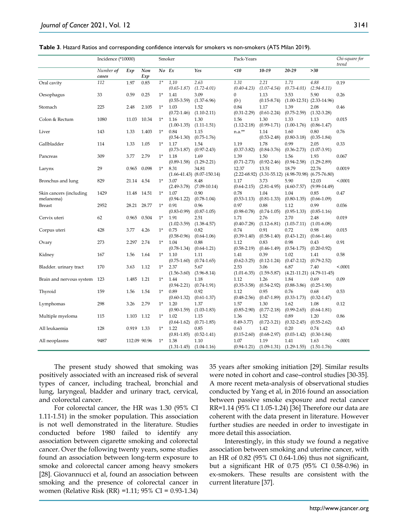|  | Table 3. Hazard Ratios and corresponding confidence intervals for smokers vs non-smokers (ATS Milan 2019). |  |  |  |  |  |  |  |
|--|------------------------------------------------------------------------------------------------------------|--|--|--|--|--|--|--|
|--|------------------------------------------------------------------------------------------------------------|--|--|--|--|--|--|--|

|                                      | Incidence (*10000) |              |            | Smoker |                         |                                                            | Pack-Years               |                                                                                         |                          |                                       | Chi-square for |
|--------------------------------------|--------------------|--------------|------------|--------|-------------------------|------------------------------------------------------------|--------------------------|-----------------------------------------------------------------------------------------|--------------------------|---------------------------------------|----------------|
|                                      | Number of<br>cases | Exp          | Non<br>Exp | No Ex  |                         | Yes                                                        | $<$ 10                   | $10-19$                                                                                 | 20-29                    | $>30$                                 | trend          |
| Oral cavity                          | 112                | 1.97         | 0.85       | $1^*$  | 1,10<br>$(0.65 - 1.87)$ | 2.63<br>$(1.72 - 4.01)$                                    | 1.31<br>$(0.40 - 4.23)$  | 2.21<br>$(1.07 - 4.54)$                                                                 | 1.71<br>$(0.73 - 4.01)$  | 4.88<br>$(2.94 - 8.11)$               | 0.19           |
| Oesophagus                           | 33                 | 0.59         | 0.25       | $1^*$  | 1.41<br>$(0.55 - 3.59)$ | 3.09<br>$(1.37-6.96)$                                      | $\overline{0}$<br>$(0-)$ | 1.13<br>$(0.15 - 8.74)$                                                                 | 3.53                     | 5.90<br>$(1.00-12.51)$ $(2.33-14.96)$ | 0.26           |
| Stomach                              | 225                | 2.48         | 2.105      | $1^*$  | 1.03<br>$(0.72 - 1.46)$ | 1.52<br>$(1.10-2.11)$                                      | 0.84<br>$(0.31 - 2.29)$  | 1.17<br>$(0.61 - 2.24)$                                                                 | 1.39<br>$(0.75 - 2.59)$  | 2.08<br>$(1.32 - 3.28)$               | 0.46           |
| Colon & Rectum                       | 1080               | 11.03        | 10.34      | $1^*$  | 1.16<br>$(1.00-1.35)$   | 1.30<br>$(1.11 - 1.51)$                                    | 1.56<br>$(1.12 - 2.18)$  | 1.30<br>$(0.99 - 1.71)$                                                                 | 1.33<br>$(1.00-1.76)$    | 1.13<br>$(0.86 - 1.47)$               | 0.015          |
| Liver                                | 143                | 1.33         | 1.403      | $1^*$  | 0.84                    | 1.15                                                       | $n.a.**$                 | 1.14                                                                                    | 1.60                     | 0.80                                  | 0.76           |
| Gallbladder                          | 114                | 1.33         | 1.05       | $1^*$  | $(0.54 - 1.30)$<br>1.17 | $(0.75-1.76)$<br>1.54                                      | 1.19                     | $(0.53 - 2.48)$<br>1.78                                                                 | $(0.80 - 3.18)$<br>0.99  | $(0.35-1.84)$<br>2.05                 | 0.33           |
| Pancreas                             | 309                | 3.77         | 2.79       | $1^*$  | $(0.73 - 1.87)$<br>1.18 | $(0.97 - 2.43)$<br>1.69                                    | $(0.37 - 3.82)$<br>1.39  | $(0.84 - 3.76)$<br>1.50                                                                 | $(0.36 - 2.73)$<br>1.56  | $(1.07 - 3.91)$<br>1.93               | 0.067          |
| Larynx                               | 29                 | 0.965        | 0.098      | $1^*$  | $(0.89 - 1.58)$<br>8.31 | $(1.29 - 2.21)$<br>34.81<br>$(1.66-41.43)$ $(8.07-150.14)$ | $(0.71 - 2.73)$<br>12.37 | $(0.92 - 2.46)$<br>13.51<br>$(2.22-68.92)$ $(3.31-55.12)$ $(4.98-70.98)$ $(6.75-76.80)$ | $(0.94 - 2.58)$<br>18.79 | $(1.29 - 2.89)$<br>22.76              | 0.0019         |
| Bronchus and lung                    | 829                | 21.14        | 4.54       | $1*$   | 3.07<br>$(2.49 - 3.78)$ | 8.48<br>$(7.09-10.14)$                                     | 1.17<br>$(0.64 - 2.15)$  | 3.73<br>$(2.81 - 4.95)$                                                                 | 5.90<br>$(4.60 - 7.57)$  | 12.03<br>$(9.99 - 14.49)$             | < .0001        |
| Skin cancers (including<br>melanoma) | 1429               | 11.48        | 14.51      | $1^*$  | 1.07<br>$(0.94 - 1.22)$ | 0.90<br>$(0.78 - 1.04)$                                    | 0.78<br>$(0.53 - 1.13)$  | 1.04<br>$(0.81 - 1.33)$                                                                 | 1.04<br>$(0.80-1.35)$    | 0.85<br>$(0.66 - 1.09)$               | 0.47           |
| <b>Breast</b>                        | 2952               | 28.21        | 28.77      | $1^*$  | 0.91<br>$(0.83 - 0.99)$ | 0.96<br>$(0.87 - 1.05)$                                    | 0.97<br>$(0.98 - 0.78)$  | 0.88<br>$(0.74 - 1.05)$                                                                 | 1.12<br>$(0.95-1.33)$    | 0.99<br>$(0.85-1.16)$                 | 0.036          |
| Cervix uteri                         | 62                 | 0.965        | 0.504      | $1^*$  | 1.91<br>$(1.02 - 3.59)$ | 2.51<br>$(1.38 - 4.57)$                                    | 1.71<br>$(0.40 - 7.28)$  | 2.76<br>$(1.12 - 6.81)$                                                                 | 2.70<br>$(1.03 - 7.11)$  | 2.48<br>$(1.01 - 6.08)$               | 0.019          |
| Corpus uteri                         | 428                | 3.77         | 4.26       | $1^*$  | 0.75<br>$(0.58 - 0.96)$ | 0.82<br>$(0.64 - 1.06)$                                    | 0.74<br>$(0.39-1.40)$    | 0.91<br>$(0.58 - 1.40)$                                                                 | 0.72<br>$(0.43 - 1.21)$  | 0.98<br>$(0.66-1.46)$                 | 0.015          |
| Ovary                                | 273                | 2.297        | 2.74       | $1^*$  | 1.04<br>$(0.78 - 1.34)$ | 0.88<br>$(0.64 - 1.21)$                                    | 1.12<br>$(0.58 - 2.19)$  | 0.83<br>$(0.46 - 1.49)$                                                                 | 0.98<br>$(0.54 - 1.75)$  | 0.43<br>$(0.20 - 0.92)$               | 0.91           |
| Kidney                               | 167                | 1.56         | 1.64       | $1^*$  | 1.10<br>$(0.75-1.60)$   | 1.11<br>$(0.74 - 1.65)$                                    | 1.41<br>$(0.62 - 3.25)$  | 0.39<br>$(0.12 - 1.24)$                                                                 | 1.02<br>$(0.47 - 2.12)$  | 1.41<br>$(0.79 - 2.52)$               | 0.58           |
| Bladder. urinary tract               | 170                | 3.63         | 1.12       | $1^*$  | 2.37<br>$(1.56 - 3.60)$ | 5.67<br>$(3.96 - 8.14)$                                    | 2.53<br>$(1.01 - 6.35)$  | 3.06<br>$(1.59 - 5.87)$                                                                 | 6.87                     | 7.40<br>$(4.21-11.21)$ $(4.79-11-45)$ | < .0001        |
| Brain and nervous system 123         |                    | 1.485 1.21   |            | $1^*$  | 1.44<br>$(0.94 - 2.21)$ | 1.18<br>$(0.74 - 1.91)$                                    | 1.12<br>$(0.35 - 3.58)$  | 1.26<br>$(0.54 - 2.92)$                                                                 | 1.84<br>$(0.88 - 3.86)$  | 0.69<br>$(0.25-1.90)$                 | 0.09           |
| Thyroid                              | 159                | 1.56         | 1.54       | $1^*$  | 0.89<br>$(0.60-1.32)$   | 0.92<br>$(0.61 - 1.37)$                                    | 1.12<br>$(0.48 - 2.56)$  | 0.95<br>$(0.47-1.89)$                                                                   | 0.76<br>$(0.33 - 1.73)$  | 0.68<br>$(0.32 - 1.47)$               | 0.53           |
| Lymphomas                            | 298                | 3.26         | 2.79       | $1^*$  | 1.20<br>$(0.90 - 1.59)$ | 1.37<br>$(1.03 - 1.83)$                                    | 1.57<br>$(0.85 - 2.90)$  | 1.30<br>$(0.77 - 2.18)$                                                                 | 1.62<br>$(0.99 - 2.65)$  | 1.08<br>$(0.64 - 1.81)$               | 0.12           |
| Multiple myeloma                     | 115                | 1.103 1.12   |            | $1*$   | 1.02<br>$(0.64 - 1.62)$ | 1.15<br>$(0.71 - 1.85)$                                    | 1.36<br>$0.49 - 3.77$    | 1.52<br>$(0.72 - 3.21)$                                                                 | 0.89<br>$(0.32 - 2.45)$  | 1.20<br>$(0.55 - 2.62)$               | 0.86           |
| All leukaemia                        | 128                | 0.919 1.33   |            | $1^*$  | 1.22<br>$(0.81 - 1.85)$ | 0.85<br>$(0.52 - 1.41)$                                    | 0.63<br>$(0.15-2.60)$    | 1.42<br>$(0.68 - 2.97)$                                                                 | 0.20<br>$(0.03 - 1.42)$  | 0.74<br>$(0.30 - 1.84)$               | 0.43           |
| All neoplasms                        | 9487               | 112.09 90.96 |            | $1^*$  | 1.38<br>$(1.31 - 1.45)$ | 1.10<br>$(1.04 - 1.16)$                                    | 1.07<br>$(0.94 - 1.21)$  | 1.19<br>$(1.09-1.31)$                                                                   | 1.41<br>$(1.29 - 1.55)$  | 1.63<br>$(1.51 - 1.76)$               | < .0001        |

The present study showed that smoking was positively associated with an increased risk of several types of cancer, including tracheal, bronchial and lung, laryngeal, bladder and urinary tract, cervical, and colorectal cancer.

For colorectal cancer, the HR was 1.30 (95% CI 1.11-1.51) in the smoker population. This association is not well demonstrated in the literature. Studies conducted before 1980 failed to identify any association between cigarette smoking and colorectal cancer. Over the following twenty years, some studies found an association between long-term exposure to smoke and colorectal cancer among heavy smokers [28]. Giovannucci et al, found an association between smoking and the presence of colorectal cancer in women (Relative Risk (RR) =1.11; 95% CI = 0.93-1.34)

35 years after smoking initiation [29]. Similar results were noted in cohort and case–control studies [30-35]. A more recent meta-analysis of observational studies conducted by Yang et al, in 2016 found an association between passive smoke exposure and rectal cancer RR=1.14 (95% CI 1.05-1.24) [36] Therefore our data are coherent with the data present in literature. However further studies are needed in order to investigate in more detail this association.

Interestingly, in this study we found a negative association between smoking and uterine cancer, with an HR of 0.82 (95% CI 0.64-1.06) thus not significant, but a significant HR of 0.75 (95% CI 0.58-0.96) in ex-smokers. These results are consistent with the current literature [37].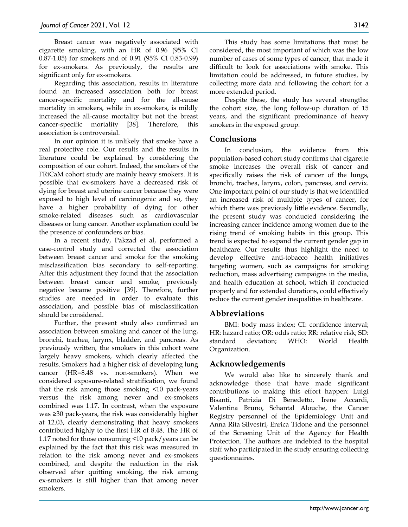Breast cancer was negatively associated with cigarette smoking, with an HR of 0.96 (95% CI 0.87-1.05) for smokers and of 0.91 (95% CI 0.83-0.99) for ex-smokers. As previously, the results are significant only for ex-smokers.

Regarding this association, results in literature found an increased association both for breast cancer-specific mortality and for the all-cause mortality in smokers, while in ex-smokers, is mildly increased the all-cause mortality but not the breast cancer-specific mortality [38]. Therefore, this association is controversial.

In our opinion it is unlikely that smoke have a real protective role. Our results and the results in literature could be explained by considering the composition of our cohort. Indeed, the smokers of the FRiCaM cohort study are mainly heavy smokers. It is possible that ex-smokers have a decreased risk of dying for breast and uterine cancer because they were exposed to high level of carcinogenic and so, they have a higher probability of dying for other smoke-related diseases such as cardiovascular diseases or lung cancer. Another explanation could be the presence of confounders or bias.

In a recent study, Pakzad et al, performed a case-control study and corrected the association between breast cancer and smoke for the smoking misclassification bias secondary to self-reporting. After this adjustment they found that the association between breast cancer and smoke, previously negative became positive [39]. Therefore, further studies are needed in order to evaluate this association, and possible bias of misclassification should be considered.

Further, the present study also confirmed an association between smoking and cancer of the lung, bronchi, trachea, larynx, bladder, and pancreas. As previously written, the smokers in this cohort were largely heavy smokers, which clearly affected the results. Smokers had a higher risk of developing lung cancer (HR=8.48 vs. non-smokers). When we considered exposure-related stratification, we found that the risk among those smoking <10 pack-years versus the risk among never and ex-smokers combined was 1.17. In contrast, when the exposure was ≥30 pack-years, the risk was considerably higher at 12.03, clearly demonstrating that heavy smokers contributed highly to the first HR of 8.48. The HR of 1.17 noted for those consuming <10 pack/years can be explained by the fact that this risk was measured in relation to the risk among never and ex-smokers combined, and despite the reduction in the risk observed after quitting smoking, the risk among ex-smokers is still higher than that among never smokers.

more extended period. Despite these, the study has several strengths: the cohort size, the long follow-up duration of 15 years, and the significant predominance of heavy smokers in the exposed group.

# **Conclusions**

In conclusion, the evidence from this population-based cohort study confirms that cigarette smoke increases the overall risk of cancer and specifically raises the risk of cancer of the lungs, bronchi, trachea, larynx, colon, pancreas, and cervix. One important point of our study is that we identified an increased risk of multiple types of cancer, for which there was previously little evidence. Secondly, the present study was conducted considering the increasing cancer incidence among women due to the rising trend of smoking habits in this group. This trend is expected to expand the current gender gap in healthcare. Our results thus highlight the need to develop effective anti-tobacco health initiatives targeting women, such as campaigns for smoking reduction, mass advertising campaigns in the media, and health education at school, which if conducted properly and for extended durations, could effectively reduce the current gender inequalities in healthcare.

## **Abbreviations**

BMI: body mass index; CI: confidence interval; HR: hazard ratio; OR: odds ratio; RR: relative risk; SD: standard deviation; WHO: World Health Organization.

## **Acknowledgements**

We would also like to sincerely thank and acknowledge those that have made significant contributions to making this effort happen: Luigi Bisanti, Patrizia Di Benedetto, Irene Accardi, Valentina Bruno, Schantal Alouche, the Cancer Registry personnel of the Epidemiology Unit and Anna Rita Silvestri, Enrica Tidone and the personnel of the Screening Unit of the Agency for Health Protection. The authors are indebted to the hospital staff who participated in the study ensuring collecting questionnaires.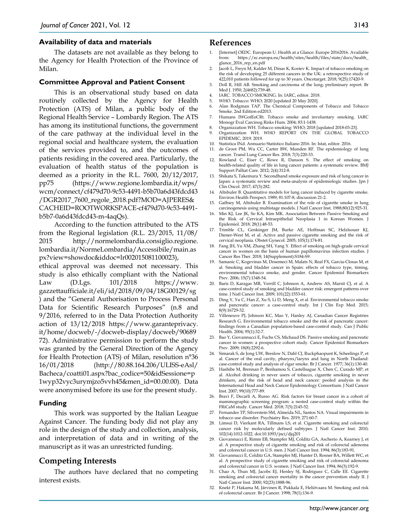#### **Availability of data and materials**

The datasets are not available as they belong to the Agency for Health Protection of the Province of Milan.

#### **Committee Approval and Patient Consent**

This is an observational study based on data routinely collected by the Agency for Health Protection (ATS) of Milan, a public body of the Regional Health Service – Lombardy Region. The ATS has among its institutional functions, the government of the care pathway at the individual level in the regional social and healthcare system, the evaluation of the services provided to, and the outcomes of patients residing in the covered area. Particularly, the evaluation of health status of the population is deemed as a priority in the R.L. 7600, 20/12/2017, pp75 (https://www.regione.lombardia.it/wps/ wcm/connect/cf479d70-9c53-4491-b5b70a6d43fdcd43 /DGR2017\_7600\_regole\_2018.pdf?MOD=AJPERES& CACHEID=ROOTWORKSPACE-cf479d70-9c53-4491 b5b7-0a6d43fdcd43-m-4aqQs).

According to the function attributed to the ATS from the Regional legislation (R.L. 23/2015, 11/08/ 2015 http://normelombardia.consiglio.regione. lombardia.it/NormeLombardia/Accessibile/main.as px?view=showdoc&iddoc=lr002015081100023),

ethical approval was deemed not necessary. This study is also ethically compliant with the National Law (D.Lgs. 101/2018 https://www. gazzettaufficiale.it/eli/id/2018/09/04/18G00129/sg ) and the "General Authorisation to Process Personal Data for Scientific Research Purposes" (n.8 and 9/2016, referred to in the Data Protection Authority action of 13/12/2018 https://www.garanteprivacy. it/home/docweb/-/docweb-display/docweb/90689 72). Administrative permission to perform the study was granted by the General Direction of the Agency for Health Protection (ATS) of Milan, resolution n°36 16/01/2018 (http://80.88.164.206/ULISS-eAsl/ Bacheca/coatti01.aspx?bac\_codice=50&idSessione=p 1wyp32vyc3urymjzo5vvh45&men\_id=00.00.00). Data were anonymised before its use for the present study.

#### **Funding**

This work was supported by the Italian League Against Cancer. The funding body did not play any role in the design of the study and collection, analysis, and interpretation of data and in writing of the manuscript as it was an unrestricted funding.

## **Competing Interests**

The authors have declared that no competing interest exists.

#### **References**

- [Internet] OEDC. European U. Health at a Glance: Europe 20162016. Available<br>from: https://ec.europa.eu/health/sites/health/files/state/docs/health https://ec.europa.eu/health/sites/health/files/state/docs/health\_ glance\_2016\_rep\_en.pdf
- 2. Jacob L, Freyn M, Kalder M, Dinas K, Kostev K. Impact of tobacco smoking on the risk of developing 25 different cancers in the UK: a retrospective study of 422,010 patients followed for up to 30 years. Oncotarget. 2018; 9(25):17420-9.
- 3. Doll R, Hill AB. Smoking and carcinoma of the lung; preliminary report. Br Med J. 1950; 2(4682):739-48.
- 4. IARC. TOBACCO SMOKING. In: IARC, editor. 2018.
- 5. WHO. Tobacco: WHO; 2020 [updated 20 May 2020].
- 6. Alan Rodgman TAP. The Chemical Components of Tobacco and Tobacco Smoke. 2nd Edition ed2013.
- 7. Humans IWGotEoCRt. Tobacco smoke and involuntary smoking. IARC Monogr Eval Carcinog Risks Hum. 2004; 83:1-1438.
- 8. Organizzation WH. Tobacco smoking: WHO; 2018 [updated 2018-03-23].
- Organizzation WH. WHO REPORT ON THE GLOBAL TOBACCO EPIDEMIC, 2019. 2019.
- 10. Statistica INd. Annuario Statistico Italiano 2016. In: Istat, editor. 2016.
- 11. de Groot PM, Wu CC, Carter BW, Munden RF. The epidemiology of lung cancer. Transl Lung Cancer Res. 2018; 7(3):220-33.
- 12. Rowland C, Eiser C, Rowe R, Danson S. The effect of smoking on health-related quality of life in lung cancer patients: a systematic review. BMJ Support Palliat Care. 2012; 2(4):312-8.
- 13. Shikata S, Takemura Y. Secondhand smoke exposure and risk of lung cancer in Japan: a systematic review and meta-analysis of epidemiologic studies. Jpn J Clin Oncol. 2017; 47(3):282.
- 14. Altshuler B. Quantitative models for lung cancer induced by cigarette smoke. Environ Health Perspect. 1989; 81:107-8; discussion 21-2.
- 15. Gaffney M, Altshuler B. Examination of the role of cigarette smoke in lung carcinogenesis using multistage models. J Natl Cancer Inst. 1988;80(12):925-31.
- 16. Min KJ, Lee JK, So KA, Kim MK. Association Between Passive Smoking and the Risk of Cervical Intraepithelial Neoplasia 1 in Korean Women. J Epidemiol. 2018; 28(1):48-53.
- 17. Trimble CL, Genkinger JM, Burke AE, Hoffman SC, Helzlsouer KJ, Diener-West M, et al. Active and passive cigarette smoking and the risk of cervical neoplasia. Obstet Gynecol. 2005; 105(1):174-81.
- 18. Fang JH, Yu XM, Zhang SH, Yang Y. Effect of smoking on high-grade cervical cancer in women on the basis of human papillomavirus infection studies. J Cancer Res Ther. 2018; 14(Supplement):S184-S9.
- 19. Samanic C, Kogevinas M, Dosemeci M, Malats N, Real FX, Garcia-Closas M, et al. Smoking and bladder cancer in Spain: effects of tobacco type, timing, environmental tobacco smoke, and gender. Cancer Epidemiol Biomarkers Prev. 2006; 15(7):1348-54.
- 20. Baris D, Karagas MR, Verrill C, Johnson A, Andrew AS, Marsit CJ, et al. A case-control study of smoking and bladder cancer risk: emergent patterns over time. J Natl Cancer Inst. 2009; 101(22):1553-61.
- 21. Ding Y, Yu C, Han Z, Xu S, Li D, Meng X, et al. Environmental tobacco smoke and pancreatic cancer: a case-control study. Int J Clin Exp Med. 2015; 8(9):16729-32.
- 22. Villeneuve PJ, Johnson KC, Mao Y, Hanley AJ, Canadian Cancer Registries Research G. Environmental tobacco smoke and the risk of pancreatic cancer: findings from a Canadian population-based case-control study. Can J Public Health. 2004; 95(1):32-7.
- 23. Bao Y, Giovannucci E, Fuchs CS, Michaud DS. Passive smoking and pancreatic cancer in women: a prospective cohort study. Cancer Epidemiol Biomarkers Prev. 2009; 18(8):2292-6.
- 24. Simarak S, de Jong UW, Breslow N, Dahl CJ, Ruckphaopunt K, Scheelings P, et al. Cancer of the oral cavity, pharynx/larynx and lung in North Thailand: case-control study and analysis of cigar smoke. Br J Cancer. 1977; 36(1):130-40.
- 25. Hashibe M, Brennan P, Benhamou S, Castellsague X, Chen C, Curado MP, et al. Alcohol drinking in never users of tobacco, cigarette smoking in never drinkers, and the risk of head and neck cancer: pooled analysis in the International Head and Neck Cancer Epidemiology Consortium. J Natl Cancer Inst. 2007; 99(10):777-89.
- 26. Bravi F, Decarli A, Russo AG. Risk factors for breast cancer in a cohort of mammographic screening program: a nested case-control study within the FRiCaM study. Cancer Med. 2018; 7(5):2145-52.
- 27. Fernandes TP, Silverstein SM, Almeida NL, Santos NA. Visual impairments in tobacco use disorder. Psychiatry Res. 2019; 271:60-7.
- 28. Limsui D, Vierkant RA, Tillmans LS, et al. Cigarette smoking and colorectal cancer risk by molecularly defined subtypes. J Natl Cancer Inst. 2010; 102(14):1012-1022. doi:10.1093/jnci/djq201
- 29. Giovannucci E, Rimm EB, Stampfer MJ, Colditz GA, Ascherio A, Kearney J, et al. A prospective study of cigarette smoking and risk of colorectal adenoma and colorectal cancer in U.S. men. J Natl Cancer Inst. 1994; 86(3):183-91.
- 30. Giovannucci E, Colditz GA, Stampfer MJ, Hunter D, Rosner BA, Willett WC, et al. A prospective study of cigarette smoking and risk of colorectal adenoma and colorectal cancer in U.S. women. J Natl Cancer Inst. 1994; 86(3):192-9.
- 31. Chao A, Thun MJ, Jacobs EJ, Henley SJ, Rodriguez C, Calle EE. Cigarette smoking and colorectal cancer mortality in the cancer prevention study II. J Natl Cancer Inst. 2000; 92(23):1888-96.
- 32. Knekt P, Hakama M, Järvinen R, Pukkala E, Heliövaara M. Smoking and risk of colorectal cancer. Br J Cancer. 1998; 78(1):136-9.